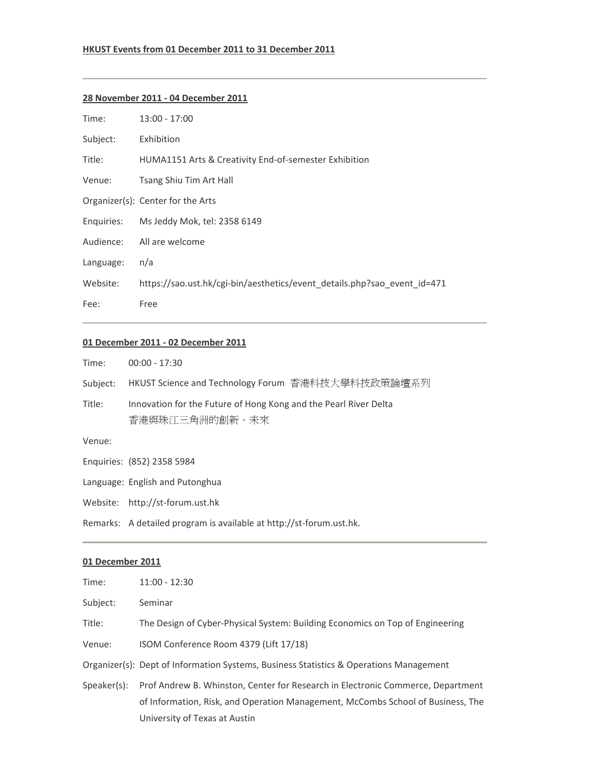#### **HKUST Events from 01 December 2011 to 31 December 2011**

#### **28 November 2011 ‐ 04 December 2011**

| Time:     | $13:00 - 17:00$                                                          |
|-----------|--------------------------------------------------------------------------|
| Subject:  | Exhibition                                                               |
| Title:    | HUMA1151 Arts & Creativity End-of-semester Exhibition                    |
| Venue:    | Tsang Shiu Tim Art Hall                                                  |
|           | Organizer(s): Center for the Arts                                        |
|           | Enquiries: Ms Jeddy Mok, tel: 2358 6149                                  |
| Audience: | All are welcome                                                          |
| Language: | n/a                                                                      |
| Website:  | https://sao.ust.hk/cgi-bin/aesthetics/event details.php?sao event id=471 |
| Fee:      | Free                                                                     |

### **01 December 2011 ‐ 02 December 2011**

| Time:    | $00:00 - 17:30$                                                                    |
|----------|------------------------------------------------------------------------------------|
| Subject: | HKUST Science and Technology Forum  香港科技大學科技政策論壇系列                                 |
| Title:   | Innovation for the Future of Hong Kong and the Pearl River Delta<br>香港與珠江三角洲的創新・未來 |
| Venue:   |                                                                                    |
|          | Enquiries: (852) 2358 5984                                                         |
|          | Language: English and Putonghua                                                    |
|          | Website: http://st-forum.ust.hk                                                    |
|          | Remarks: A detailed program is available at http://st-forum.ust.hk.                |

| Time:       | $11:00 - 12:30$                                                                                                                                                    |
|-------------|--------------------------------------------------------------------------------------------------------------------------------------------------------------------|
| Subject:    | Seminar                                                                                                                                                            |
| Title:      | The Design of Cyber-Physical System: Building Economics on Top of Engineering                                                                                      |
| Venue:      | ISOM Conference Room 4379 (Lift 17/18)                                                                                                                             |
|             | Organizer(s): Dept of Information Systems, Business Statistics & Operations Management                                                                             |
| Speaker(s): | Prof Andrew B. Whinston, Center for Research in Electronic Commerce, Department<br>of Information, Risk, and Operation Management, McCombs School of Business, The |
|             | University of Texas at Austin                                                                                                                                      |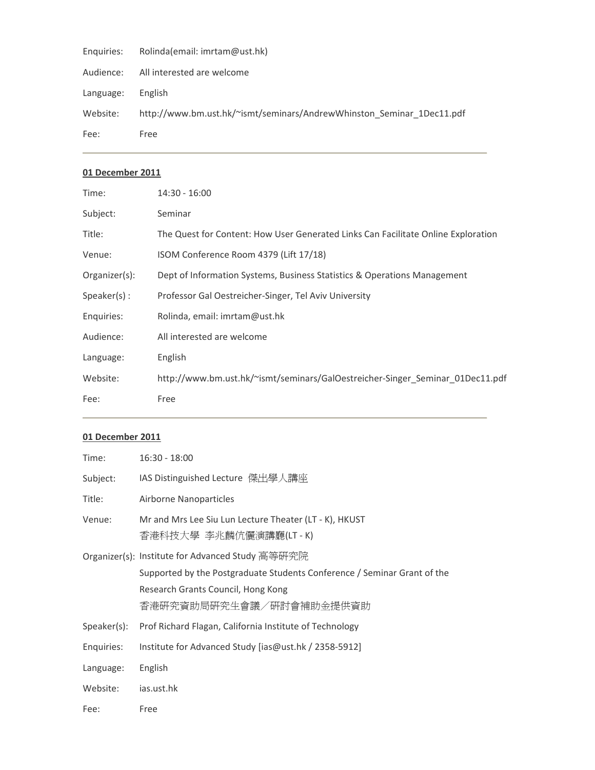| Rolinda(email: imrtam@ust.hk)                                         |
|-----------------------------------------------------------------------|
| All interested are welcome                                            |
| English                                                               |
| http://www.bm.ust.hk/~ismt/seminars/AndrewWhinston Seminar 1Dec11.pdf |
| Free                                                                  |
|                                                                       |

| Time:          | $14:30 - 16:00$                                                                   |
|----------------|-----------------------------------------------------------------------------------|
| Subject:       | Seminar                                                                           |
| Title:         | The Quest for Content: How User Generated Links Can Facilitate Online Exploration |
| Venue:         | ISOM Conference Room 4379 (Lift 17/18)                                            |
| Organizer(s):  | Dept of Information Systems, Business Statistics & Operations Management          |
| $Speaker(s)$ : | Professor Gal Oestreicher-Singer, Tel Aviv University                             |
| Enquiries:     | Rolinda, email: imrtam@ust.hk                                                     |
| Audience:      | All interested are welcome                                                        |
| Language:      | English                                                                           |
| Website:       | http://www.bm.ust.hk/~ismt/seminars/GalOestreicher-Singer Seminar 01Dec11.pdf     |
| Fee:           | Free                                                                              |

| Time:       | $16:30 - 18:00$                                                                 |
|-------------|---------------------------------------------------------------------------------|
| Subject:    | IAS Distinguished Lecture 傑出學人講座                                                |
| Title:      | Airborne Nanoparticles                                                          |
| Venue:      | Mr and Mrs Lee Siu Lun Lecture Theater (LT - K), HKUST<br>香港科技大學 李兆麟伉儷演講廳(LT-K) |
|             | Organizer(s): Institute for Advanced Study 高等研究院                                |
|             | Supported by the Postgraduate Students Conference / Seminar Grant of the        |
|             | Research Grants Council, Hong Kong                                              |
|             | 香港研究資助局研究生會議/研討會補助金提供資助                                                         |
| Speaker(s): | Prof Richard Flagan, California Institute of Technology                         |
| Enquiries:  | Institute for Advanced Study [ias@ust.hk / 2358-5912]                           |
| Language:   | English                                                                         |
| Website:    | ias.ust.hk                                                                      |
| Fee:        | Free                                                                            |
|             |                                                                                 |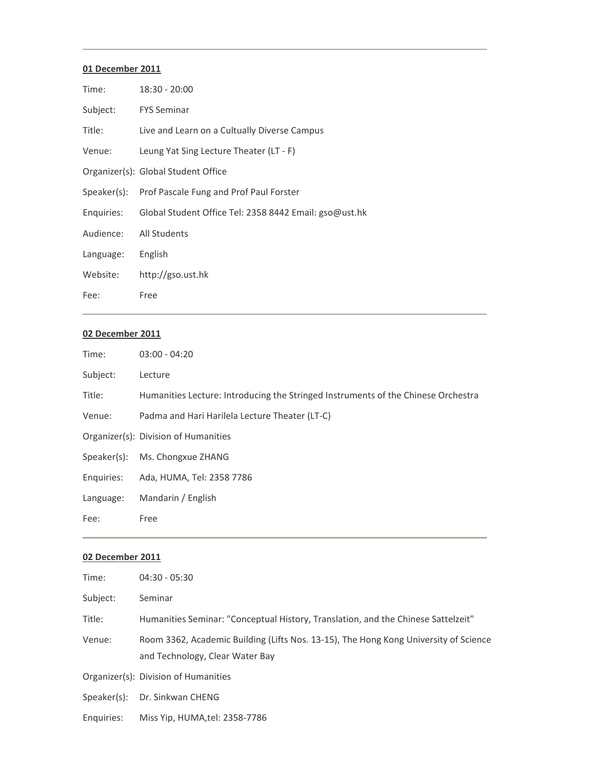| Time:      | $18:30 - 20:00$                                        |
|------------|--------------------------------------------------------|
| Subject:   | <b>FYS Seminar</b>                                     |
| Title:     | Live and Learn on a Cultually Diverse Campus           |
| Venue:     | Leung Yat Sing Lecture Theater (LT - F)                |
|            | Organizer(s): Global Student Office                    |
|            | Speaker(s): Prof Pascale Fung and Prof Paul Forster    |
| Enquiries: | Global Student Office Tel: 2358 8442 Email: gso@ust.hk |
| Audience:  | All Students                                           |
| Language:  | English                                                |
| Website:   | http://gso.ust.hk                                      |
| Fee:       | Free                                                   |

# **02 December 2011**

| Time:      | $03:00 - 04:20$                                                                   |
|------------|-----------------------------------------------------------------------------------|
| Subject:   | Lecture                                                                           |
| Title:     | Humanities Lecture: Introducing the Stringed Instruments of the Chinese Orchestra |
| Venue:     | Padma and Hari Harilela Lecture Theater (LT-C)                                    |
|            | Organizer(s): Division of Humanities                                              |
|            | Speaker(s): Ms. Chongxue ZHANG                                                    |
| Enquiries: | Ada, HUMA, Tel: 2358 7786                                                         |
| Language:  | Mandarin / English                                                                |
| Fee:       | Free                                                                              |
|            |                                                                                   |

| Time:       | $04:30 - 05:30$                                                                                                         |
|-------------|-------------------------------------------------------------------------------------------------------------------------|
| Subject:    | Seminar                                                                                                                 |
| Title:      | Humanities Seminar: "Conceptual History, Translation, and the Chinese Sattelzeit"                                       |
| Venue:      | Room 3362, Academic Building (Lifts Nos. 13-15), The Hong Kong University of Science<br>and Technology, Clear Water Bay |
|             | Organizer(s): Division of Humanities                                                                                    |
| Speaker(s): | Dr. Sinkwan CHENG                                                                                                       |
| Enquiries:  | Miss Yip, HUMA,tel: 2358-7786                                                                                           |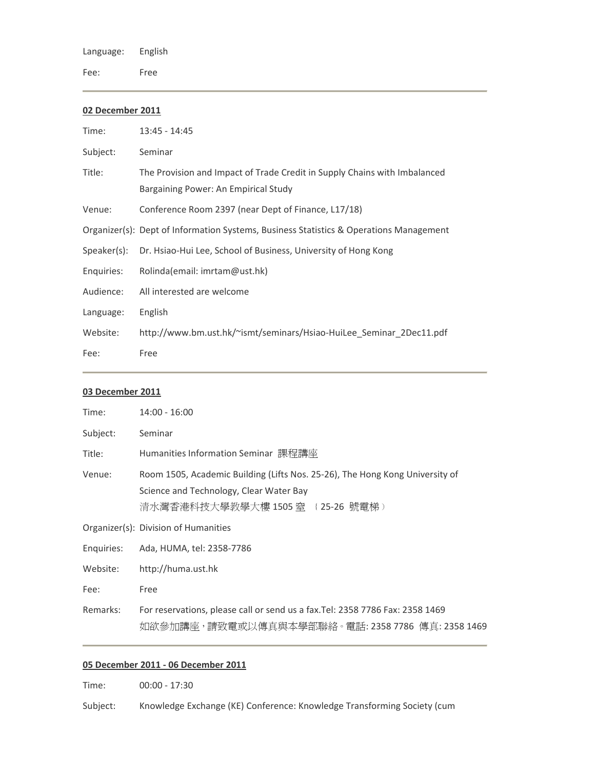Language: English

Fee: Free

# **02 December 2011**

| Time:       | $13:45 - 14:45$                                                                                                   |
|-------------|-------------------------------------------------------------------------------------------------------------------|
| Subject:    | Seminar                                                                                                           |
| Title:      | The Provision and Impact of Trade Credit in Supply Chains with Imbalanced<br>Bargaining Power: An Empirical Study |
| Venue:      | Conference Room 2397 (near Dept of Finance, L17/18)                                                               |
|             | Organizer(s): Dept of Information Systems, Business Statistics & Operations Management                            |
| Speaker(s): | Dr. Hsiao-Hui Lee, School of Business, University of Hong Kong                                                    |
| Enquiries:  | Rolinda(email: imrtam@ust.hk)                                                                                     |
| Audience:   | All interested are welcome                                                                                        |
| Language:   | English                                                                                                           |
| Website:    | http://www.bm.ust.hk/~ismt/seminars/Hsiao-HuiLee Seminar 2Dec11.pdf                                               |
| Fee:        | Free                                                                                                              |

# **03 December 2011**

| Time:      | $14:00 - 16:00$                                                                                                                                             |
|------------|-------------------------------------------------------------------------------------------------------------------------------------------------------------|
| Subject:   | Seminar                                                                                                                                                     |
| Title:     | Humanities Information Seminar 課程講座                                                                                                                         |
| Venue:     | Room 1505, Academic Building (Lifts Nos. 25-26), The Hong Kong University of<br>Science and Technology, Clear Water Bay<br>清水灣香港科技大學教學大樓 1505 窒 (25-26 號電梯) |
|            | Organizer(s): Division of Humanities                                                                                                                        |
| Enquiries: | Ada, HUMA, tel: 2358-7786                                                                                                                                   |
| Website:   | http://huma.ust.hk                                                                                                                                          |
| Fee:       | Free                                                                                                                                                        |
| Remarks:   | For reservations, please call or send us a fax. Tel: 2358 7786 Fax: 2358 1469<br>如欲參加講座,請致電或以傳真與本學部聯絡。電話: 2358 7786 傳真: 2358 1469                           |

# **05 December 2011 ‐ 06 December 2011**

Time: 00:00 - 17:30

Subject: Knowledge Exchange (KE) Conference: Knowledge Transforming Society (cum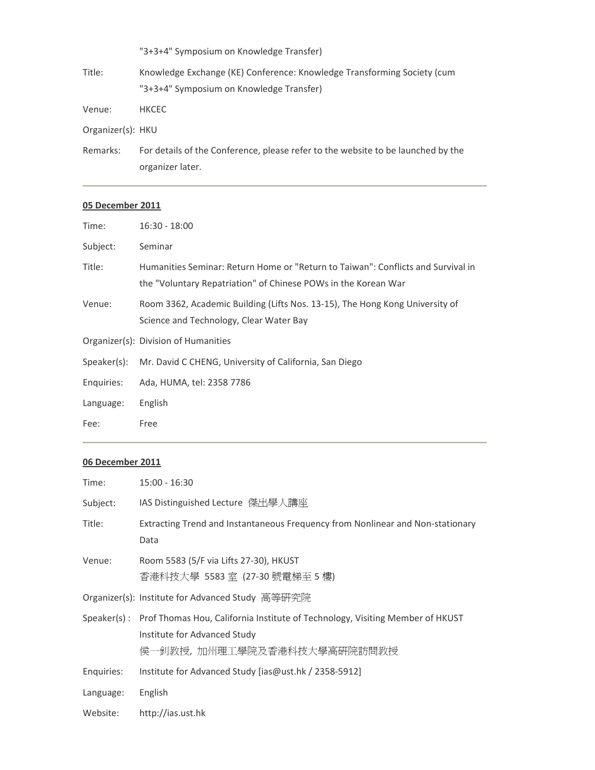|                   | "3+3+4" Symposium on Knowledge Transfer)                                                                            |
|-------------------|---------------------------------------------------------------------------------------------------------------------|
| Title:            | Knowledge Exchange (KE) Conference: Knowledge Transforming Society (cum<br>"3+3+4" Symposium on Knowledge Transfer) |
| Venue:            | <b>HKCEC</b>                                                                                                        |
| Organizer(s): HKU |                                                                                                                     |
|                   |                                                                                                                     |

Remarks: For details of the Conference, please refer to the website to be launched by the organizer later.

# **05 December 2011**

| Time:       | $16:30 - 18:00$                                                                                                                                    |
|-------------|----------------------------------------------------------------------------------------------------------------------------------------------------|
| Subject:    | Seminar                                                                                                                                            |
| Title:      | Humanities Seminar: Return Home or "Return to Taiwan": Conflicts and Survival in<br>the "Voluntary Repatriation" of Chinese POWs in the Korean War |
| Venue:      | Room 3362, Academic Building (Lifts Nos. 13-15), The Hong Kong University of<br>Science and Technology, Clear Water Bay                            |
|             | Organizer(s): Division of Humanities                                                                                                               |
| Speaker(s): | Mr. David C CHENG, University of California, San Diego                                                                                             |
| Enquiries:  | Ada, HUMA, tel: 2358 7786                                                                                                                          |
| Language:   | English                                                                                                                                            |
| Fee:        | Free                                                                                                                                               |
|             |                                                                                                                                                    |

| Time:      | $15:00 - 16:30$                                                                                                                                         |
|------------|---------------------------------------------------------------------------------------------------------------------------------------------------------|
| Subject:   | IAS Distinguished Lecture 傑出學人講座                                                                                                                        |
| Title:     | Extracting Trend and Instantaneous Frequency from Nonlinear and Non-stationary<br>Data                                                                  |
| Venue:     | Room 5583 (5/F via Lifts 27-30), HKUST<br>香港科技大學 5583 室 (27-30 號電梯至 5 樓)                                                                                |
|            | Organizer(s): Institute for Advanced Study 高等研究院                                                                                                        |
|            | Speaker(s): Prof Thomas Hou, California Institute of Technology, Visiting Member of HKUST<br>Institute for Advanced Study<br>侯一釗教授,加州理工學院及香港科技大學高研院訪問教授 |
| Enquiries: | Institute for Advanced Study [ias@ust.hk / 2358-5912]                                                                                                   |
| Language:  | English                                                                                                                                                 |
| Website:   | http://ias.ust.hk                                                                                                                                       |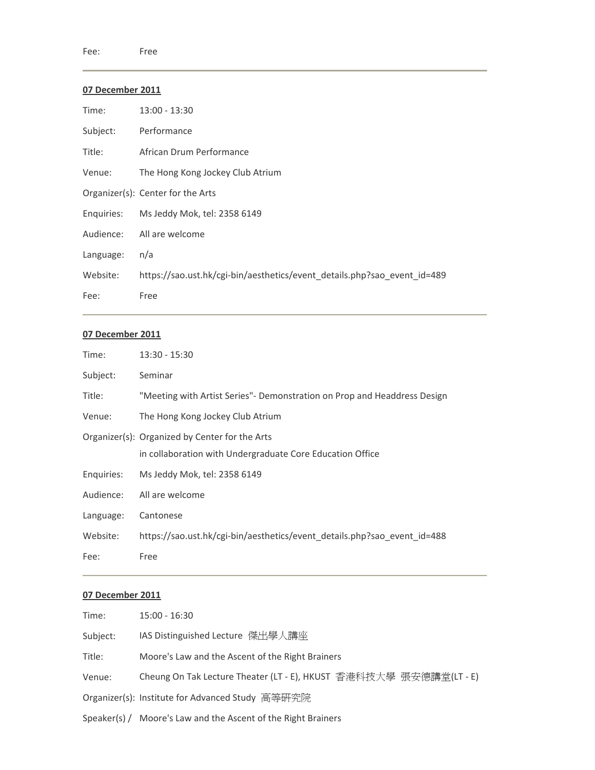| Time:     | $13:00 - 13:30$                                                          |
|-----------|--------------------------------------------------------------------------|
| Subject:  | Performance                                                              |
| Title:    | African Drum Performance                                                 |
| Venue:    | The Hong Kong Jockey Club Atrium                                         |
|           | Organizer(s): Center for the Arts                                        |
|           | Enquiries: Ms Jeddy Mok, tel: 2358 6149                                  |
|           | Audience: All are welcome                                                |
| Language: | n/a                                                                      |
| Website:  | https://sao.ust.hk/cgi-bin/aesthetics/event_details.php?sao_event_id=489 |
| Fee:      | Free                                                                     |

### **07 December 2011**

| Time:      | $13:30 - 15:30$                                                                                             |
|------------|-------------------------------------------------------------------------------------------------------------|
| Subject:   | Seminar                                                                                                     |
| Title:     | "Meeting with Artist Series"- Demonstration on Prop and Headdress Design                                    |
| Venue:     | The Hong Kong Jockey Club Atrium                                                                            |
|            | Organizer(s): Organized by Center for the Arts<br>in collaboration with Undergraduate Core Education Office |
| Enquiries: | Ms Jeddy Mok, tel: 2358 6149                                                                                |
| Audience:  | All are welcome                                                                                             |
| Language:  | Cantonese                                                                                                   |
| Website:   | https://sao.ust.hk/cgi-bin/aesthetics/event_details.php?sao_event_id=488                                    |
| Fee:       | Free                                                                                                        |

| Time:    | $15:00 - 16:30$                                                    |
|----------|--------------------------------------------------------------------|
| Subject: | IAS Distinguished Lecture 傑出學人講座                                   |
| Title:   | Moore's Law and the Ascent of the Right Brainers                   |
| Venue:   | Cheung On Tak Lecture Theater (LT - E), HKUST 香港科技大學 張安德講堂(LT - E) |
|          | Organizer(s): Institute for Advanced Study 高等研究院                   |
|          | Speaker(s) / Moore's Law and the Ascent of the Right Brainers      |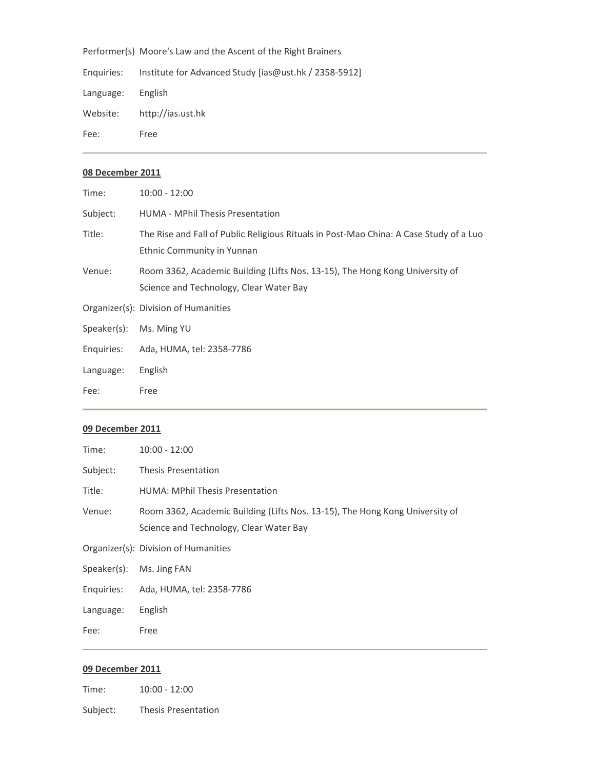Performer(s) Moore's Law and the Ascent of the Right Brainers

Enquiries: Institute for Advanced Study [ias@ust.hk / 2358‐5912] Language: English Website: http://ias.ust.hk Fee: Free

#### **08 December 2011**

| Time:       | $10:00 - 12:00$                                                                                                         |
|-------------|-------------------------------------------------------------------------------------------------------------------------|
| Subject:    | HUMA - MPhil Thesis Presentation                                                                                        |
| Title:      | The Rise and Fall of Public Religious Rituals in Post-Mao China: A Case Study of a Luo<br>Ethnic Community in Yunnan    |
| Venue:      | Room 3362, Academic Building (Lifts Nos. 13-15), The Hong Kong University of<br>Science and Technology, Clear Water Bay |
|             | Organizer(s): Division of Humanities                                                                                    |
| Speaker(s): | Ms. Ming YU                                                                                                             |
| Enquiries:  | Ada, HUMA, tel: 2358-7786                                                                                               |
| Language:   | English                                                                                                                 |
| Fee:        | Free                                                                                                                    |

#### **09 December 2011**

| Time:                    | $10:00 - 12:00$                                                                                                         |
|--------------------------|-------------------------------------------------------------------------------------------------------------------------|
| Subject:                 | Thesis Presentation                                                                                                     |
| Title:                   | <b>HUMA: MPhil Thesis Presentation</b>                                                                                  |
| Venue:                   | Room 3362, Academic Building (Lifts Nos. 13-15), The Hong Kong University of<br>Science and Technology, Clear Water Bay |
|                          | Organizer(s): Division of Humanities                                                                                    |
| Speaker(s): Ms. Jing FAN |                                                                                                                         |
|                          | Enquiries: Ada, HUMA, tel: 2358-7786                                                                                    |
| Language:                | English                                                                                                                 |
| Fee:                     | Free                                                                                                                    |

#### **09 December 2011**

Time: 10:00 - 12:00

Subject: Thesis Presentation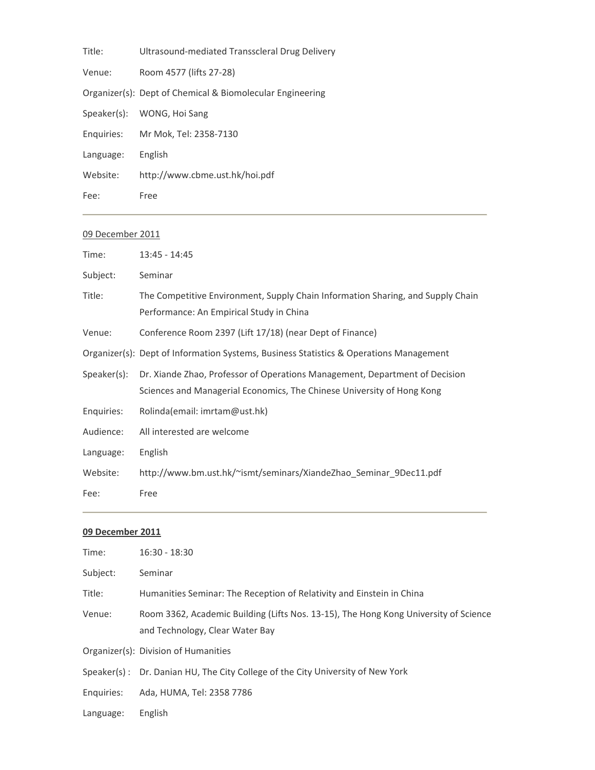| Title:     | Ultrasound-mediated Transscleral Drug Delivery            |
|------------|-----------------------------------------------------------|
| Venue:     | Room 4577 (lifts 27-28)                                   |
|            | Organizer(s): Dept of Chemical & Biomolecular Engineering |
|            | Speaker(s): WONG, Hoi Sang                                |
| Enguiries: | Mr Mok, Tel: 2358-7130                                    |
| Language:  | English                                                   |
| Website:   | http://www.cbme.ust.hk/hoi.pdf                            |
| Fee:       | Free                                                      |

| Time:       | $13:45 - 14:45$                                                                                                                                       |
|-------------|-------------------------------------------------------------------------------------------------------------------------------------------------------|
| Subject:    | Seminar                                                                                                                                               |
| Title:      | The Competitive Environment, Supply Chain Information Sharing, and Supply Chain<br>Performance: An Empirical Study in China                           |
| Venue:      | Conference Room 2397 (Lift 17/18) (near Dept of Finance)                                                                                              |
|             | Organizer(s): Dept of Information Systems, Business Statistics & Operations Management                                                                |
| Speaker(s): | Dr. Xiande Zhao, Professor of Operations Management, Department of Decision<br>Sciences and Managerial Economics, The Chinese University of Hong Kong |
| Enquiries:  | Rolinda(email: imrtam@ust.hk)                                                                                                                         |
| Audience:   | All interested are welcome                                                                                                                            |
| Language:   | English                                                                                                                                               |
| Website:    | http://www.bm.ust.hk/~ismt/seminars/XiandeZhao Seminar 9Dec11.pdf                                                                                     |
| Fee:        | Free                                                                                                                                                  |

| Time:      | $16:30 - 18:30$                                                                                                         |
|------------|-------------------------------------------------------------------------------------------------------------------------|
| Subject:   | Seminar                                                                                                                 |
| Title:     | Humanities Seminar: The Reception of Relativity and Einstein in China                                                   |
| Venue:     | Room 3362, Academic Building (Lifts Nos. 13-15), The Hong Kong University of Science<br>and Technology, Clear Water Bay |
|            | Organizer(s): Division of Humanities                                                                                    |
|            | Speaker(s): Dr. Danian HU, The City College of the City University of New York                                          |
| Enguiries: | Ada, HUMA, Tel: 2358 7786                                                                                               |
| Language:  | English                                                                                                                 |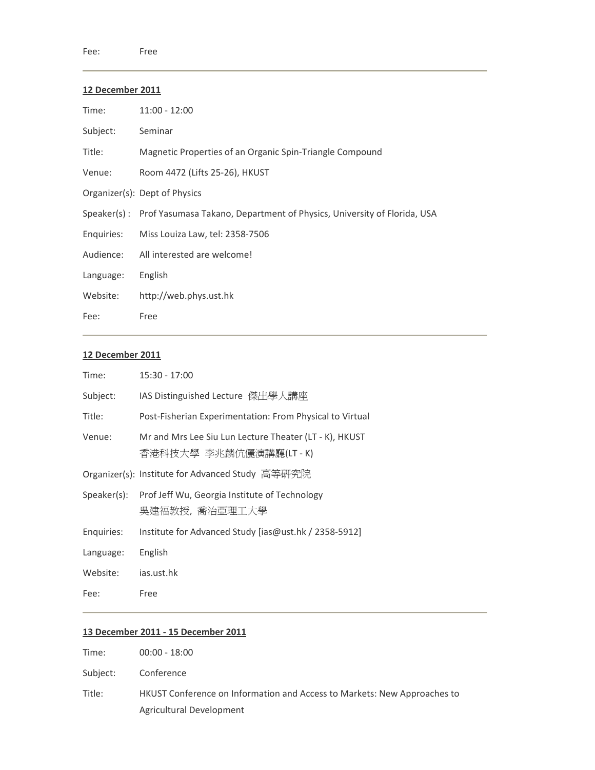| Time:      | $11:00 - 12:00$                                                                     |
|------------|-------------------------------------------------------------------------------------|
| Subject:   | Seminar                                                                             |
| Title:     | Magnetic Properties of an Organic Spin-Triangle Compound                            |
| Venue:     | Room 4472 (Lifts 25-26), HKUST                                                      |
|            | Organizer(s): Dept of Physics                                                       |
|            | Speaker(s): Prof Yasumasa Takano, Department of Physics, University of Florida, USA |
| Enquiries: | Miss Louiza Law, tel: 2358-7506                                                     |
| Audience:  | All interested are welcome!                                                         |
| Language:  | English                                                                             |
| Website:   | http://web.phys.ust.hk                                                              |
| Fee:       | Free                                                                                |

#### **12 December 2011**

| Time:      | $15:30 - 17:00$                                                                 |
|------------|---------------------------------------------------------------------------------|
| Subject:   | IAS Distinguished Lecture 傑出學人講座                                                |
| Title:     | Post-Fisherian Experimentation: From Physical to Virtual                        |
| Venue:     | Mr and Mrs Lee Siu Lun Lecture Theater (LT - K), HKUST<br>香港科技大學 李兆麟伉儷演講廳(LT-K) |
|            | Organizer(s): Institute for Advanced Study 高等研究院                                |
|            | Speaker(s): Prof Jeff Wu, Georgia Institute of Technology<br>吳建福教授,喬治亞理工大學      |
| Enquiries: | Institute for Advanced Study [ias@ust.hk / 2358-5912]                           |
| Language:  | English                                                                         |
| Website:   | jas.ust.hk                                                                      |
| Fee:       | Free                                                                            |

### **13 December 2011 ‐ 15 December 2011**

| Time:    | $00:00 - 18:00$                                                          |
|----------|--------------------------------------------------------------------------|
| Subject: | Conference                                                               |
| Title:   | HKUST Conference on Information and Access to Markets: New Approaches to |
|          | Agricultural Development                                                 |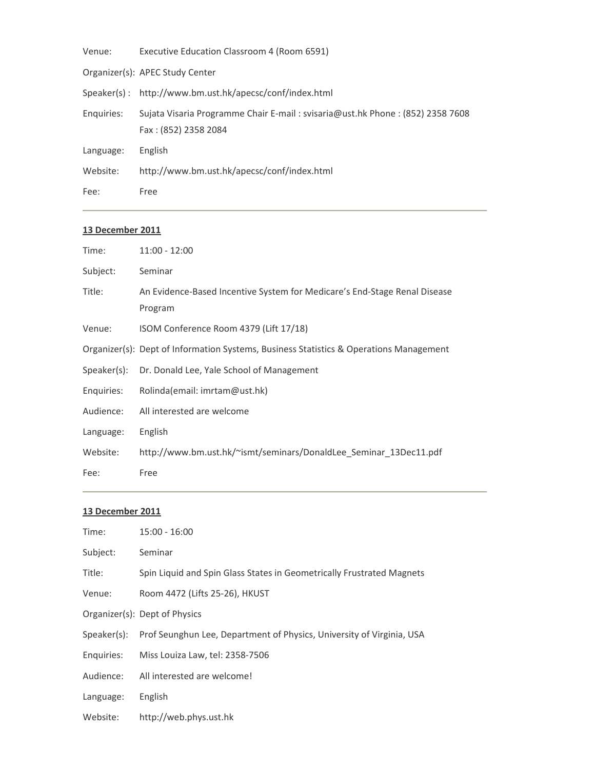| Venue:     | Executive Education Classroom 4 (Room 6591)                                                             |
|------------|---------------------------------------------------------------------------------------------------------|
|            | Organizer(s): APEC Study Center                                                                         |
|            | Speaker(s): http://www.bm.ust.hk/apecsc/conf/index.html                                                 |
| Enquiries: | Sujata Visaria Programme Chair E-mail : svisaria@ust.hk Phone : (852) 2358 7608<br>Fax: (852) 2358 2084 |
| Language:  | English                                                                                                 |
| Website:   | http://www.bm.ust.hk/apecsc/conf/index.html                                                             |
| Fee:       | Free                                                                                                    |

| Time:       | $11:00 - 12:00$                                                                        |
|-------------|----------------------------------------------------------------------------------------|
| Subject:    | Seminar                                                                                |
| Title:      | An Evidence-Based Incentive System for Medicare's End-Stage Renal Disease              |
|             | Program                                                                                |
| Venue:      | ISOM Conference Room 4379 (Lift 17/18)                                                 |
|             | Organizer(s): Dept of Information Systems, Business Statistics & Operations Management |
| Speaker(s): | Dr. Donald Lee, Yale School of Management                                              |
| Enquiries:  | Rolinda(email: imrtam@ust.hk)                                                          |
| Audience:   | All interested are welcome                                                             |
| Language:   | English                                                                                |
| Website:    | http://www.bm.ust.hk/~ismt/seminars/DonaldLee_Seminar_13Dec11.pdf                      |
| Fee:        | Free                                                                                   |

| Time:       | $15:00 - 16:00$                                                       |
|-------------|-----------------------------------------------------------------------|
| Subject:    | Seminar                                                               |
| Title:      | Spin Liquid and Spin Glass States in Geometrically Frustrated Magnets |
| Venue:      | Room 4472 (Lifts 25-26), HKUST                                        |
|             | Organizer(s): Dept of Physics                                         |
| Speaker(s): | Prof Seunghun Lee, Department of Physics, University of Virginia, USA |
| Enquiries:  | Miss Louiza Law, tel: 2358-7506                                       |
| Audience:   | All interested are welcome!                                           |
| Language:   | English                                                               |
| Website:    | http://web.phys.ust.hk                                                |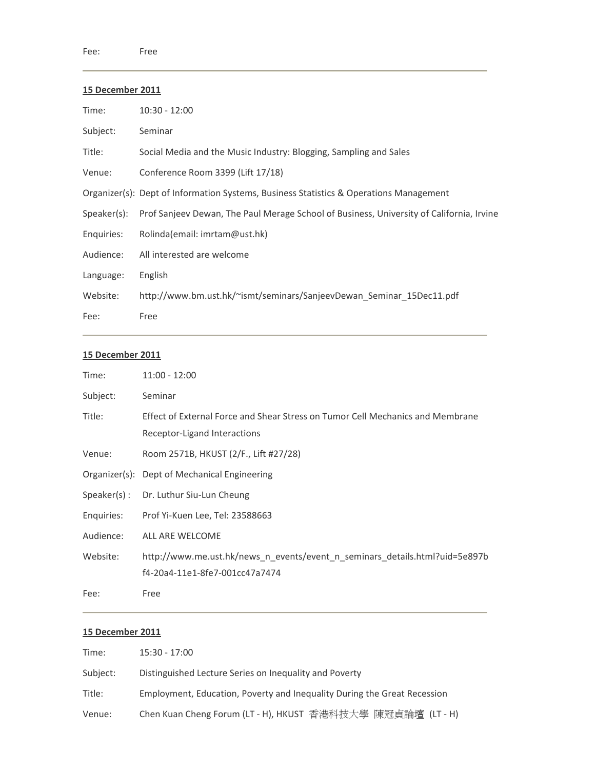| Time:       | $10:30 - 12:00$                                                                          |
|-------------|------------------------------------------------------------------------------------------|
| Subject:    | Seminar                                                                                  |
| Title:      | Social Media and the Music Industry: Blogging, Sampling and Sales                        |
| Venue:      | Conference Room 3399 (Lift 17/18)                                                        |
|             | Organizer(s): Dept of Information Systems, Business Statistics & Operations Management   |
| Speaker(s): | Prof Sanjeev Dewan, The Paul Merage School of Business, University of California, Irvine |
| Enquiries:  | Rolinda(email: imrtam@ust.hk)                                                            |
| Audience:   | All interested are welcome                                                               |
| Language:   | English                                                                                  |
| Website:    | http://www.bm.ust.hk/~ismt/seminars/SanjeevDewan Seminar 15Dec11.pdf                     |
| Fee:        | Free                                                                                     |

#### **15 December 2011**

| Time:      | $11:00 - 12:00$                                                                                                |
|------------|----------------------------------------------------------------------------------------------------------------|
| Subject:   | Seminar                                                                                                        |
| Title:     | Effect of External Force and Shear Stress on Tumor Cell Mechanics and Membrane<br>Receptor-Ligand Interactions |
| Venue:     | Room 2571B, HKUST (2/F., Lift #27/28)                                                                          |
|            | Organizer(s): Dept of Mechanical Engineering                                                                   |
|            | Speaker(s): Dr. Luthur Siu-Lun Cheung                                                                          |
| Enquiries: | Prof Yi-Kuen Lee, Tel: 23588663                                                                                |
| Audience:  | ALL ARE WELCOME                                                                                                |
| Website:   | http://www.me.ust.hk/news_n_events/event_n_seminars_details.html?uid=5e897b                                    |
|            | f4-20a4-11e1-8fe7-001cc47a7474                                                                                 |
| Fee:       | Free                                                                                                           |

| Time:    | $15:30 - 17:00$                                                          |
|----------|--------------------------------------------------------------------------|
| Subject: | Distinguished Lecture Series on Inequality and Poverty                   |
| Title:   | Employment, Education, Poverty and Inequality During the Great Recession |
| Venue:   | Chen Kuan Cheng Forum (LT - H), HKUST 香港科技大學 陳冠貞論壇 (LT - H)              |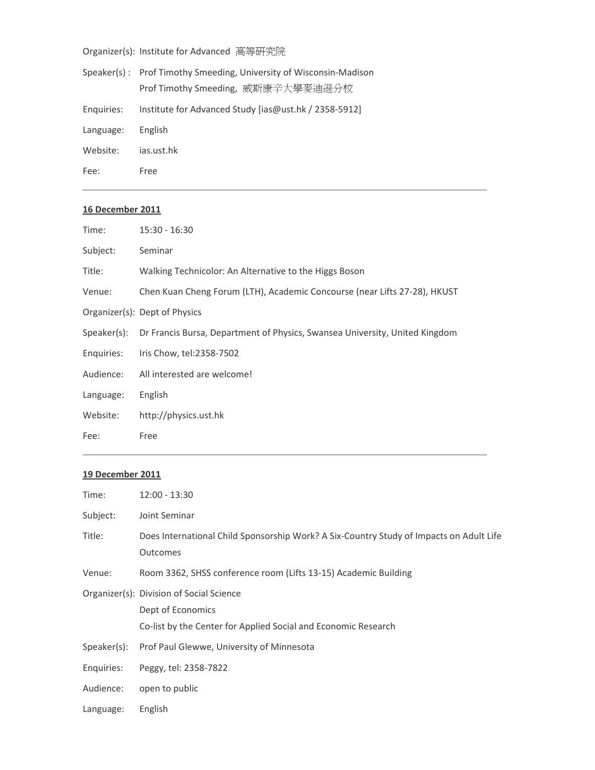Organizer(s): Institute for Advanced 高等研究院

|            | Speaker(s): Prof Timothy Smeeding, University of Wisconsin-Madison |
|------------|--------------------------------------------------------------------|
|            | Prof Timothy Smeeding, 威斯康辛大學麥迪遜分校                                 |
| Enquiries: | Institute for Advanced Study [ias@ust.hk / 2358-5912]              |
| Language:  | English                                                            |
| Website:   | ias.ust.hk                                                         |
| Fee:       | Free                                                               |

#### **16 December 2011**

| Time:      | $15:30 - 16:30$                                                                         |
|------------|-----------------------------------------------------------------------------------------|
| Subject:   | Seminar                                                                                 |
| Title:     | Walking Technicolor: An Alternative to the Higgs Boson                                  |
| Venue:     | Chen Kuan Cheng Forum (LTH), Academic Concourse (near Lifts 27-28), HKUST               |
|            | Organizer(s): Dept of Physics                                                           |
|            | Speaker(s): Dr Francis Bursa, Department of Physics, Swansea University, United Kingdom |
| Enquiries: | Iris Chow, tel:2358-7502                                                                |
| Audience:  | All interested are welcome!                                                             |
| Language:  | English                                                                                 |
| Website:   | http://physics.ust.hk                                                                   |
| Fee:       | Free                                                                                    |
|            |                                                                                         |

| Time:       | $12:00 - 13:30$                                                                                                                 |
|-------------|---------------------------------------------------------------------------------------------------------------------------------|
| Subject:    | Joint Seminar                                                                                                                   |
| Title:      | Does International Child Sponsorship Work? A Six-Country Study of Impacts on Adult Life<br>Outcomes                             |
| Venue:      | Room 3362, SHSS conference room (Lifts 13-15) Academic Building                                                                 |
|             | Organizer(s): Division of Social Science<br>Dept of Economics<br>Co-list by the Center for Applied Social and Economic Research |
| Speaker(s): | Prof Paul Glewwe, University of Minnesota                                                                                       |
| Enquiries:  | Peggy, tel: 2358-7822                                                                                                           |
| Audience:   | open to public                                                                                                                  |
| Language:   | English                                                                                                                         |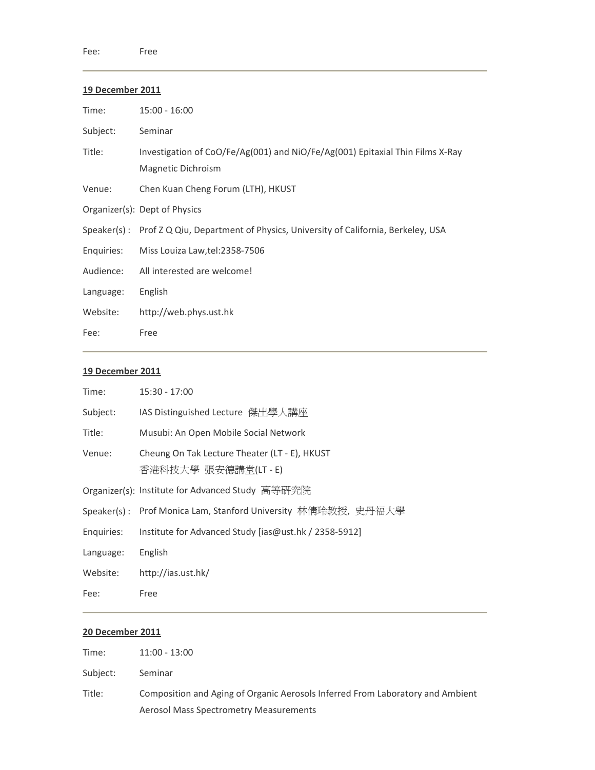| Time:      | $15:00 - 16:00$                                                                                     |
|------------|-----------------------------------------------------------------------------------------------------|
| Subject:   | Seminar                                                                                             |
| Title:     | Investigation of CoO/Fe/Ag(001) and NiO/Fe/Ag(001) Epitaxial Thin Films X-Ray<br>Magnetic Dichroism |
| Venue:     | Chen Kuan Cheng Forum (LTH), HKUST                                                                  |
|            | Organizer(s): Dept of Physics                                                                       |
|            | Speaker(s): Prof Z Q Qiu, Department of Physics, University of California, Berkeley, USA            |
| Enquiries: | Miss Louiza Law, tel: 2358-7506                                                                     |
| Audience:  | All interested are welcome!                                                                         |
| Language:  | English                                                                                             |
| Website:   | http://web.phys.ust.hk                                                                              |
| Fee:       | Free                                                                                                |

# **19 December 2011**

| Time:      | $15:30 - 17:00$                                                     |
|------------|---------------------------------------------------------------------|
| Subject:   | IAS Distinguished Lecture 傑出學人講座                                    |
| Title:     | Musubi: An Open Mobile Social Network                               |
| Venue:     | Cheung On Tak Lecture Theater (LT - E), HKUST<br>香港科技大學 張安德講堂(LT-E) |
|            | Organizer(s): Institute for Advanced Study 高等研究院                    |
|            | Speaker(s) : Prof Monica Lam, Stanford University 林倩玲教授, 史丹福大學      |
| Enquiries: | Institute for Advanced Study [ias@ust.hk / 2358-5912]               |
| Language:  | English                                                             |
| Website:   | http://ias.ust.hk/                                                  |
| Fee:       | Free                                                                |

| Time:    | $11:00 - 13:00$                                                                |
|----------|--------------------------------------------------------------------------------|
| Subject: | Seminar                                                                        |
| Title:   | Composition and Aging of Organic Aerosols Inferred From Laboratory and Ambient |
|          | Aerosol Mass Spectrometry Measurements                                         |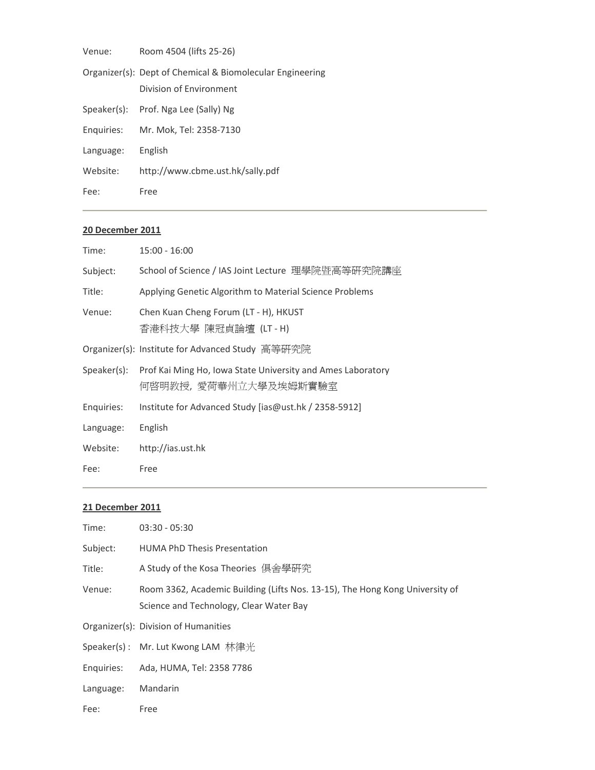| Venue:     | Room 4504 (lifts 25-26)                                                              |
|------------|--------------------------------------------------------------------------------------|
|            | Organizer(s): Dept of Chemical & Biomolecular Engineering<br>Division of Environment |
|            | Speaker(s): Prof. Nga Lee (Sally) Ng                                                 |
| Enquiries: | Mr. Mok, Tel: 2358-7130                                                              |
| Language:  | English                                                                              |
| Website:   | http://www.cbme.ust.hk/sally.pdf                                                     |
| Fee:       | Free                                                                                 |

| Time:       | $15:00 - 16:00$                                                                     |
|-------------|-------------------------------------------------------------------------------------|
| Subject:    | School of Science / IAS Joint Lecture 理學院暨高等研究院講座                                   |
| Title:      | Applying Genetic Algorithm to Material Science Problems                             |
| Venue:      | Chen Kuan Cheng Forum (LT - H), HKUST<br>香港科技大學 陳冠貞論壇 (LT-H)                        |
|             | Organizer(s): Institute for Advanced Study 高等研究院                                    |
| Speaker(s): | Prof Kai Ming Ho, Iowa State University and Ames Laboratory<br>何啓明教授,愛荷華州立大學及埃姆斯實驗室 |
| Enquiries:  | Institute for Advanced Study [ias@ust.hk / 2358-5912]                               |
| Language:   | English                                                                             |
| Website:    | http://ias.ust.hk                                                                   |
| Fee:        | Free                                                                                |

| Time:      | $03:30 - 05:30$                                                                                                         |
|------------|-------------------------------------------------------------------------------------------------------------------------|
| Subject:   | <b>HUMA PhD Thesis Presentation</b>                                                                                     |
| Title:     | A Study of the Kosa Theories 俱舍學硏究                                                                                      |
| Venue:     | Room 3362, Academic Building (Lifts Nos. 13-15), The Hong Kong University of<br>Science and Technology, Clear Water Bay |
|            | Organizer(s): Division of Humanities                                                                                    |
|            | Speaker(s) : Mr. Lut Kwong LAM 林律光                                                                                      |
| Enquiries: | Ada, HUMA, Tel: 2358 7786                                                                                               |
| Language:  | Mandarin                                                                                                                |
| Fee:       | Free                                                                                                                    |